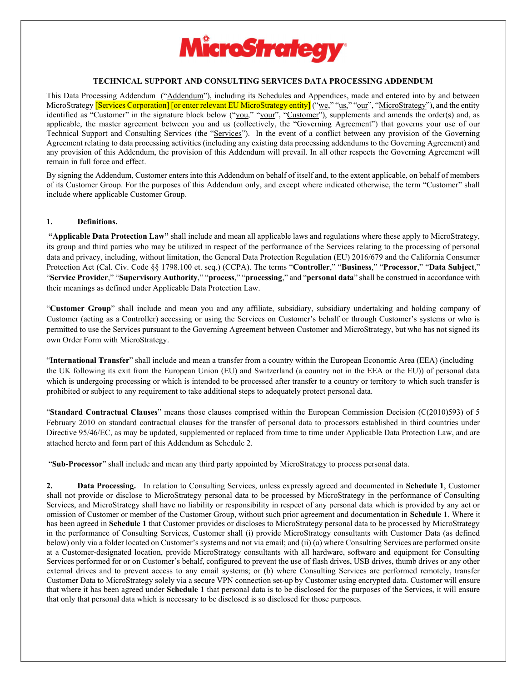

## TECHNICAL SUPPORT AND CONSULTING SERVICES DATA PROCESSING ADDENDUM

This Data Processing Addendum ("Addendum"), including its Schedules and Appendices, made and entered into by and between MicroStrategy [Services Corporation] [or enter relevant EU MicroStrategy entity] ("we," "us," "our", "MicroStrategy"), and the entity identified as "Customer" in the signature block below ("you," "your", "Customer"), supplements and amends the order(s) and, as applicable, the master agreement between you and us (collectively, the "Governing Agreement") that governs your use of our Technical Support and Consulting Services (the "Services"). In the event of a conflict between any provision of the Governing Agreement relating to data processing activities (including any existing data processing addendums to the Governing Agreement) and any provision of this Addendum, the provision of this Addendum will prevail. In all other respects the Governing Agreement will remain in full force and effect.

By signing the Addendum, Customer enters into this Addendum on behalf of itself and, to the extent applicable, on behalf of members of its Customer Group. For the purposes of this Addendum only, and except where indicated otherwise, the term "Customer" shall include where applicable Customer Group.

#### 1. Definitions.

 "Applicable Data Protection Law" shall include and mean all applicable laws and regulations where these apply to MicroStrategy, its group and third parties who may be utilized in respect of the performance of the Services relating to the processing of personal data and privacy, including, without limitation, the General Data Protection Regulation (EU) 2016/679 and the California Consumer Protection Act (Cal. Civ. Code §§ 1798.100 et. seq.) (CCPA). The terms "Controller," "Business," "Processor," "Data Subject," "Service Provider," "Supervisory Authority," "process," "processing," and "personal data" shall be construed in accordance with their meanings as defined under Applicable Data Protection Law.

"Customer Group" shall include and mean you and any affiliate, subsidiary, subsidiary undertaking and holding company of Customer (acting as a Controller) accessing or using the Services on Customer's behalf or through Customer's systems or who is permitted to use the Services pursuant to the Governing Agreement between Customer and MicroStrategy, but who has not signed its own Order Form with MicroStrategy.

"International Transfer" shall include and mean a transfer from a country within the European Economic Area (EEA) (including the UK following its exit from the European Union (EU) and Switzerland (a country not in the EEA or the EU)) of personal data which is undergoing processing or which is intended to be processed after transfer to a country or territory to which such transfer is prohibited or subject to any requirement to take additional steps to adequately protect personal data.

"Standard Contractual Clauses" means those clauses comprised within the European Commission Decision (C(2010)593) of 5 February 2010 on standard contractual clauses for the transfer of personal data to processors established in third countries under Directive 95/46/EC, as may be updated, supplemented or replaced from time to time under Applicable Data Protection Law, and are attached hereto and form part of this Addendum as Schedule 2.

"Sub-Processor" shall include and mean any third party appointed by MicroStrategy to process personal data.

2. Data Processing. In relation to Consulting Services, unless expressly agreed and documented in Schedule 1, Customer shall not provide or disclose to MicroStrategy personal data to be processed by MicroStrategy in the performance of Consulting Services, and MicroStrategy shall have no liability or responsibility in respect of any personal data which is provided by any act or omission of Customer or member of the Customer Group, without such prior agreement and documentation in Schedule 1. Where it has been agreed in Schedule 1 that Customer provides or discloses to MicroStrategy personal data to be processed by MicroStrategy in the performance of Consulting Services, Customer shall (i) provide MicroStrategy consultants with Customer Data (as defined below) only via a folder located on Customer's systems and not via email; and (ii) (a) where Consulting Services are performed onsite at a Customer-designated location, provide MicroStrategy consultants with all hardware, software and equipment for Consulting Services performed for or on Customer's behalf, configured to prevent the use of flash drives, USB drives, thumb drives or any other external drives and to prevent access to any email systems; or (b) where Consulting Services are performed remotely, transfer Customer Data to MicroStrategy solely via a secure VPN connection set-up by Customer using encrypted data. Customer will ensure that where it has been agreed under Schedule 1 that personal data is to be disclosed for the purposes of the Services, it will ensure that only that personal data which is necessary to be disclosed is so disclosed for those purposes.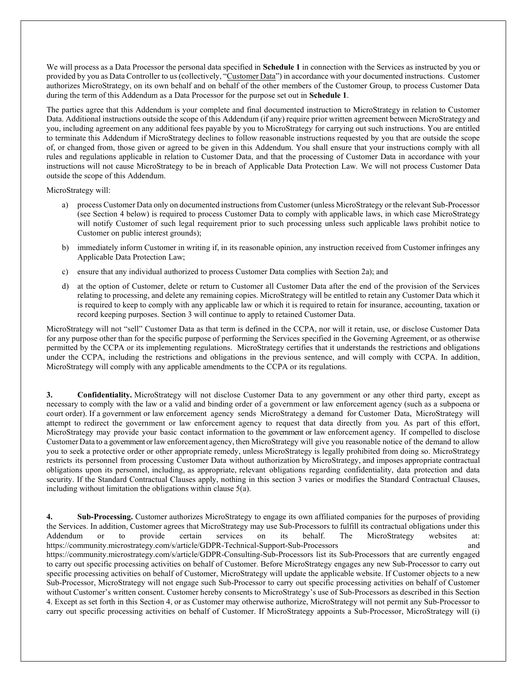We will process as a Data Processor the personal data specified in Schedule 1 in connection with the Services as instructed by you or provided by you as Data Controller to us (collectively, "Customer Data") in accordance with your documented instructions. Customer authorizes MicroStrategy, on its own behalf and on behalf of the other members of the Customer Group, to process Customer Data during the term of this Addendum as a Data Processor for the purpose set out in **Schedule 1**.

The parties agree that this Addendum is your complete and final documented instruction to MicroStrategy in relation to Customer Data. Additional instructions outside the scope of this Addendum (if any) require prior written agreement between MicroStrategy and you, including agreement on any additional fees payable by you to MicroStrategy for carrying out such instructions. You are entitled to terminate this Addendum if MicroStrategy declines to follow reasonable instructions requested by you that are outside the scope of, or changed from, those given or agreed to be given in this Addendum. You shall ensure that your instructions comply with all rules and regulations applicable in relation to Customer Data, and that the processing of Customer Data in accordance with your instructions will not cause MicroStrategy to be in breach of Applicable Data Protection Law. We will not process Customer Data outside the scope of this Addendum.

MicroStrategy will:

- a) process Customer Data only on documented instructions from Customer (unless MicroStrategy or the relevant Sub-Processor (see Section 4 below) is required to process Customer Data to comply with applicable laws, in which case MicroStrategy will notify Customer of such legal requirement prior to such processing unless such applicable laws prohibit notice to Customer on public interest grounds);
- b) immediately inform Customer in writing if, in its reasonable opinion, any instruction received from Customer infringes any Applicable Data Protection Law;
- c) ensure that any individual authorized to process Customer Data complies with Section 2a); and
- d) at the option of Customer, delete or return to Customer all Customer Data after the end of the provision of the Services relating to processing, and delete any remaining copies. MicroStrategy will be entitled to retain any Customer Data which it is required to keep to comply with any applicable law or which it is required to retain for insurance, accounting, taxation or record keeping purposes. Section 3 will continue to apply to retained Customer Data.

MicroStrategy will not "sell" Customer Data as that term is defined in the CCPA, nor will it retain, use, or disclose Customer Data for any purpose other than for the specific purpose of performing the Services specified in the Governing Agreement, or as otherwise permitted by the CCPA or its implementing regulations. MicroStrategy certifies that it understands the restrictions and obligations under the CCPA, including the restrictions and obligations in the previous sentence, and will comply with CCPA. In addition, MicroStrategy will comply with any applicable amendments to the CCPA or its regulations.

3. Confidentiality. MicroStrategy will not disclose Customer Data to any government or any other third party, except as necessary to comply with the law or a valid and binding order of a government or law enforcement agency (such as a subpoena or court order). If a government or law enforcement agency sends MicroStrategy a demand for Customer Data, MicroStrategy will attempt to redirect the government or law enforcement agency to request that data directly from you. As part of this effort, MicroStrategy may provide your basic contact information to the government or law enforcement agency. If compelled to disclose Customer Data to a government or law enforcement agency, then MicroStrategy will give you reasonable notice of the demand to allow you to seek a protective order or other appropriate remedy, unless MicroStrategy is legally prohibited from doing so. MicroStrategy restricts its personnel from processing Customer Data without authorization by MicroStrategy, and imposes appropriate contractual obligations upon its personnel, including, as appropriate, relevant obligations regarding confidentiality, data protection and data security. If the Standard Contractual Clauses apply, nothing in this section 3 varies or modifies the Standard Contractual Clauses, including without limitation the obligations within clause 5(a).

4. Sub-Processing. Customer authorizes MicroStrategy to engage its own affiliated companies for the purposes of providing the Services. In addition, Customer agrees that MicroStrategy may use Sub-Processors to fulfill its contractual obligations under this Addendum or to provide certain services on its behalf. The MicroStrategy websites at: https://community.microstrategy.com/s/article/GDPR-Technical-Support-Sub-Processors and https://community.microstrategy.com/s/article/GDPR-Consulting-Sub-Processors list its Sub-Processors that are currently engaged to carry out specific processing activities on behalf of Customer. Before MicroStrategy engages any new Sub-Processor to carry out specific processing activities on behalf of Customer, MicroStrategy will update the applicable website. If Customer objects to a new Sub-Processor, MicroStrategy will not engage such Sub-Processor to carry out specific processing activities on behalf of Customer without Customer's written consent. Customer hereby consents to MicroStrategy's use of Sub-Processors as described in this Section 4. Except as set forth in this Section 4, or as Customer may otherwise authorize, MicroStrategy will not permit any Sub-Processor to carry out specific processing activities on behalf of Customer. If MicroStrategy appoints a Sub-Processor, MicroStrategy will (i)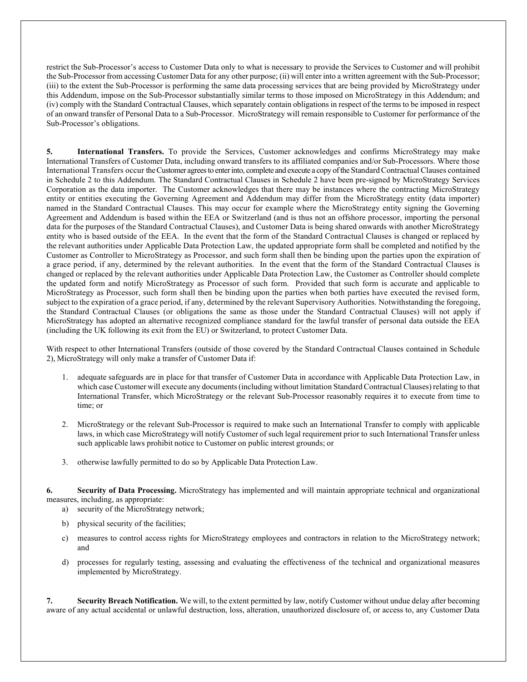restrict the Sub-Processor's access to Customer Data only to what is necessary to provide the Services to Customer and will prohibit the Sub-Processor from accessing Customer Data for any other purpose; (ii) will enter into a written agreement with the Sub-Processor; (iii) to the extent the Sub-Processor is performing the same data processing services that are being provided by MicroStrategy under this Addendum, impose on the Sub-Processor substantially similar terms to those imposed on MicroStrategy in this Addendum; and (iv) comply with the Standard Contractual Clauses, which separately contain obligations in respect of the terms to be imposed in respect of an onward transfer of Personal Data to a Sub-Processor. MicroStrategy will remain responsible to Customer for performance of the Sub-Processor's obligations.

5. International Transfers. To provide the Services, Customer acknowledges and confirms MicroStrategy may make International Transfers of Customer Data, including onward transfers to its affiliated companies and/or Sub-Processors. Where those International Transfers occur the Customer agrees to enter into, complete and execute a copy of the Standard Contractual Clauses contained in Schedule 2 to this Addendum. The Standard Contractual Clauses in Schedule 2 have been pre-signed by MicroStrategy Services Corporation as the data importer. The Customer acknowledges that there may be instances where the contracting MicroStrategy entity or entities executing the Governing Agreement and Addendum may differ from the MicroStrategy entity (data importer) named in the Standard Contractual Clauses. This may occur for example where the MicroStrategy entity signing the Governing Agreement and Addendum is based within the EEA or Switzerland (and is thus not an offshore processor, importing the personal data for the purposes of the Standard Contractual Clauses), and Customer Data is being shared onwards with another MicroStrategy entity who is based outside of the EEA. In the event that the form of the Standard Contractual Clauses is changed or replaced by the relevant authorities under Applicable Data Protection Law, the updated appropriate form shall be completed and notified by the Customer as Controller to MicroStrategy as Processor, and such form shall then be binding upon the parties upon the expiration of a grace period, if any, determined by the relevant authorities. In the event that the form of the Standard Contractual Clauses is changed or replaced by the relevant authorities under Applicable Data Protection Law, the Customer as Controller should complete the updated form and notify MicroStrategy as Processor of such form. Provided that such form is accurate and applicable to MicroStrategy as Processor, such form shall then be binding upon the parties when both parties have executed the revised form, subject to the expiration of a grace period, if any, determined by the relevant Supervisory Authorities. Notwithstanding the foregoing, the Standard Contractual Clauses (or obligations the same as those under the Standard Contractual Clauses) will not apply if MicroStrategy has adopted an alternative recognized compliance standard for the lawful transfer of personal data outside the EEA (including the UK following its exit from the EU) or Switzerland, to protect Customer Data.

With respect to other International Transfers (outside of those covered by the Standard Contractual Clauses contained in Schedule 2), MicroStrategy will only make a transfer of Customer Data if:

- 1. adequate safeguards are in place for that transfer of Customer Data in accordance with Applicable Data Protection Law, in which case Customer will execute any documents (including without limitation Standard Contractual Clauses) relating to that International Transfer, which MicroStrategy or the relevant Sub-Processor reasonably requires it to execute from time to time; or
- 2. MicroStrategy or the relevant Sub-Processor is required to make such an International Transfer to comply with applicable laws, in which case MicroStrategy will notify Customer of such legal requirement prior to such International Transfer unless such applicable laws prohibit notice to Customer on public interest grounds; or
- 3. otherwise lawfully permitted to do so by Applicable Data Protection Law.

6. Security of Data Processing. MicroStrategy has implemented and will maintain appropriate technical and organizational measures, including, as appropriate:

a) security of the MicroStrategy network;

- b) physical security of the facilities;
- c) measures to control access rights for MicroStrategy employees and contractors in relation to the MicroStrategy network; and
- d) processes for regularly testing, assessing and evaluating the effectiveness of the technical and organizational measures implemented by MicroStrategy.

7. Security Breach Notification. We will, to the extent permitted by law, notify Customer without undue delay after becoming aware of any actual accidental or unlawful destruction, loss, alteration, unauthorized disclosure of, or access to, any Customer Data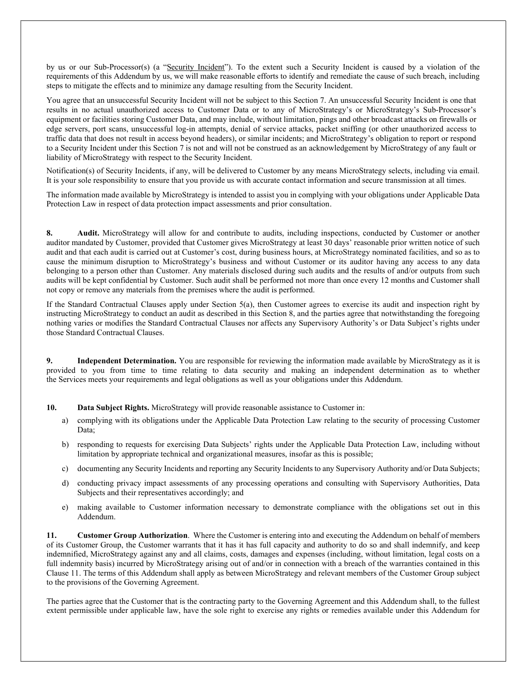by us or our Sub-Processor(s) (a "Security Incident"). To the extent such a Security Incident is caused by a violation of the requirements of this Addendum by us, we will make reasonable efforts to identify and remediate the cause of such breach, including steps to mitigate the effects and to minimize any damage resulting from the Security Incident.

You agree that an unsuccessful Security Incident will not be subject to this Section 7. An unsuccessful Security Incident is one that results in no actual unauthorized access to Customer Data or to any of MicroStrategy's or MicroStrategy's Sub-Processor's equipment or facilities storing Customer Data, and may include, without limitation, pings and other broadcast attacks on firewalls or edge servers, port scans, unsuccessful log-in attempts, denial of service attacks, packet sniffing (or other unauthorized access to traffic data that does not result in access beyond headers), or similar incidents; and MicroStrategy's obligation to report or respond to a Security Incident under this Section 7 is not and will not be construed as an acknowledgement by MicroStrategy of any fault or liability of MicroStrategy with respect to the Security Incident.

Notification(s) of Security Incidents, if any, will be delivered to Customer by any means MicroStrategy selects, including via email. It is your sole responsibility to ensure that you provide us with accurate contact information and secure transmission at all times.

The information made available by MicroStrategy is intended to assist you in complying with your obligations under Applicable Data Protection Law in respect of data protection impact assessments and prior consultation.

8. Audit. MicroStrategy will allow for and contribute to audits, including inspections, conducted by Customer or another auditor mandated by Customer, provided that Customer gives MicroStrategy at least 30 days' reasonable prior written notice of such audit and that each audit is carried out at Customer's cost, during business hours, at MicroStrategy nominated facilities, and so as to cause the minimum disruption to MicroStrategy's business and without Customer or its auditor having any access to any data belonging to a person other than Customer. Any materials disclosed during such audits and the results of and/or outputs from such audits will be kept confidential by Customer. Such audit shall be performed not more than once every 12 months and Customer shall not copy or remove any materials from the premises where the audit is performed.

If the Standard Contractual Clauses apply under Section 5(a), then Customer agrees to exercise its audit and inspection right by instructing MicroStrategy to conduct an audit as described in this Section 8, and the parties agree that notwithstanding the foregoing nothing varies or modifies the Standard Contractual Clauses nor affects any Supervisory Authority's or Data Subject's rights under those Standard Contractual Clauses.

9. Independent Determination. You are responsible for reviewing the information made available by MicroStrategy as it is provided to you from time to time relating to data security and making an independent determination as to whether the Services meets your requirements and legal obligations as well as your obligations under this Addendum.

10. Data Subject Rights. MicroStrategy will provide reasonable assistance to Customer in:

- a) complying with its obligations under the Applicable Data Protection Law relating to the security of processing Customer Data;
- b) responding to requests for exercising Data Subjects' rights under the Applicable Data Protection Law, including without limitation by appropriate technical and organizational measures, insofar as this is possible;
- c) documenting any Security Incidents and reporting any Security Incidents to any Supervisory Authority and/or Data Subjects;
- d) conducting privacy impact assessments of any processing operations and consulting with Supervisory Authorities, Data Subjects and their representatives accordingly; and
- e) making available to Customer information necessary to demonstrate compliance with the obligations set out in this Addendum.

11. Customer Group Authorization. Where the Customer is entering into and executing the Addendum on behalf of members of its Customer Group, the Customer warrants that it has it has full capacity and authority to do so and shall indemnify, and keep indemnified, MicroStrategy against any and all claims, costs, damages and expenses (including, without limitation, legal costs on a full indemnity basis) incurred by MicroStrategy arising out of and/or in connection with a breach of the warranties contained in this Clause 11. The terms of this Addendum shall apply as between MicroStrategy and relevant members of the Customer Group subject to the provisions of the Governing Agreement.

The parties agree that the Customer that is the contracting party to the Governing Agreement and this Addendum shall, to the fullest extent permissible under applicable law, have the sole right to exercise any rights or remedies available under this Addendum for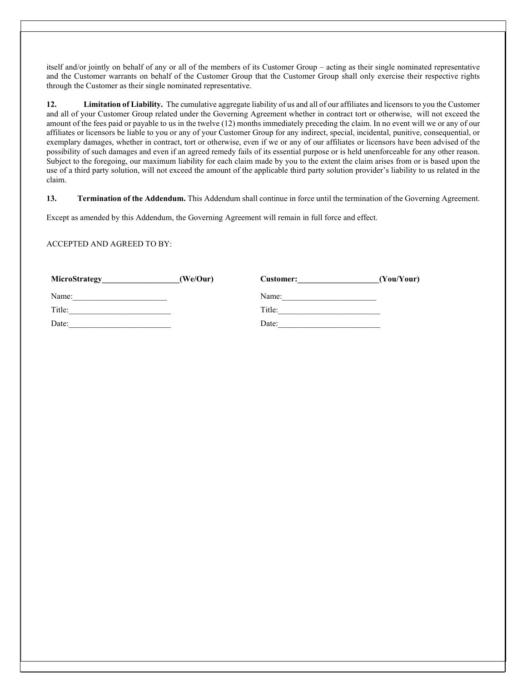itself and/or jointly on behalf of any or all of the members of its Customer Group – acting as their single nominated representative and the Customer warrants on behalf of the Customer Group that the Customer Group shall only exercise their respective rights through the Customer as their single nominated representative.

12. Limitation of Liability. The cumulative aggregate liability of us and all of our affiliates and licensors to you the Customer and all of your Customer Group related under the Governing Agreement whether in contract tort or otherwise, will not exceed the amount of the fees paid or payable to us in the twelve (12) months immediately preceding the claim. In no event will we or any of our affiliates or licensors be liable to you or any of your Customer Group for any indirect, special, incidental, punitive, consequential, or exemplary damages, whether in contract, tort or otherwise, even if we or any of our affiliates or licensors have been advised of the possibility of such damages and even if an agreed remedy fails of its essential purpose or is held unenforceable for any other reason. Subject to the foregoing, our maximum liability for each claim made by you to the extent the claim arises from or is based upon the use of a third party solution, will not exceed the amount of the applicable third party solution provider's liability to us related in the claim.

13. Termination of the Addendum. This Addendum shall continue in force until the termination of the Governing Agreement.

Except as amended by this Addendum, the Governing Agreement will remain in full force and effect.

ACCEPTED AND AGREED TO BY:

| MicroStrategy | (We/Our) | <b>Customer:</b> | (You/Your) |
|---------------|----------|------------------|------------|
| Name:         |          | Name:            |            |
| Title:        |          | Title:           |            |
| Date:         |          | Date:            |            |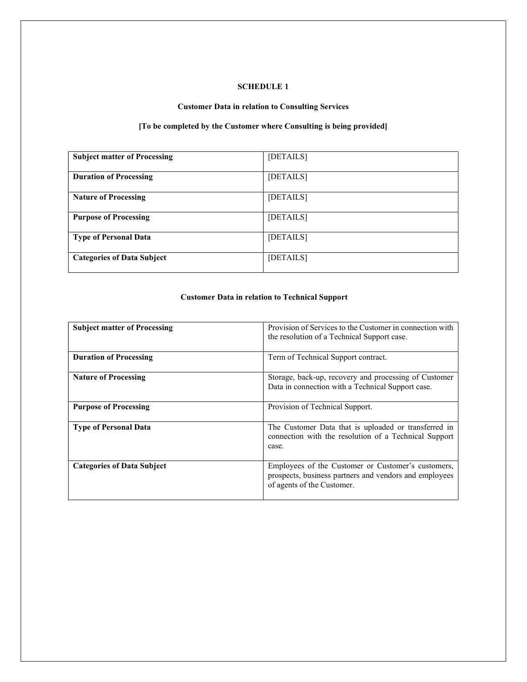# SCHEDULE 1

# Customer Data in relation to Consulting Services

# [To be completed by the Customer where Consulting is being provided]

| <b>Subject matter of Processing</b> | [DETAILS] |
|-------------------------------------|-----------|
| <b>Duration of Processing</b>       | [DETAILS] |
| <b>Nature of Processing</b>         | [DETAILS] |
| <b>Purpose of Processing</b>        | [DETAILS] |
| <b>Type of Personal Data</b>        | [DETAILS] |
| <b>Categories of Data Subject</b>   | [DETAILS] |

# Customer Data in relation to Technical Support

| <b>Subject matter of Processing</b> | Provision of Services to the Customer in connection with<br>the resolution of a Technical Support case.                                    |  |
|-------------------------------------|--------------------------------------------------------------------------------------------------------------------------------------------|--|
| <b>Duration of Processing</b>       | Term of Technical Support contract.                                                                                                        |  |
| <b>Nature of Processing</b>         | Storage, back-up, recovery and processing of Customer<br>Data in connection with a Technical Support case.                                 |  |
| <b>Purpose of Processing</b>        | Provision of Technical Support.                                                                                                            |  |
| <b>Type of Personal Data</b>        | The Customer Data that is uploaded or transferred in<br>connection with the resolution of a Technical Support<br>case.                     |  |
| <b>Categories of Data Subject</b>   | Employees of the Customer or Customer's customers,<br>prospects, business partners and vendors and employees<br>of agents of the Customer. |  |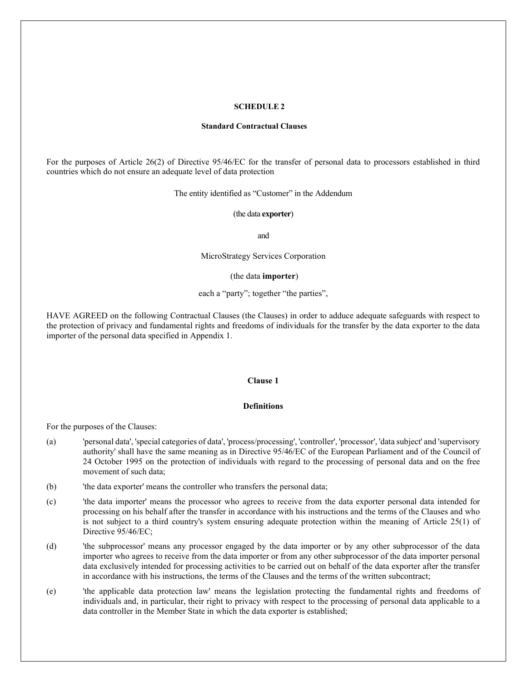#### SCHEDULE 2

#### Standard Contractual Clauses

For the purposes of Article 26(2) of Directive 95/46/EC for the transfer of personal data to processors established in third countries which do not ensure an adequate level of data protection

The entity identified as "Customer" in the Addendum

(the data exporter)

and

MicroStrategy Services Corporation

#### (the data importer)

## each a "party"; together "the parties",

HAVE AGREED on the following Contractual Clauses (the Clauses) in order to adduce adequate safeguards with respect to the protection of privacy and fundamental rights and freedoms of individuals for the transfer by the data exporter to the data importer of the personal data specified in Appendix 1.

#### Clause 1

## Definitions

For the purposes of the Clauses:

- (a) 'personal data', 'special categories of data', 'process/processing', 'controller', 'processor', 'data subject' and 'supervisory authority' shall have the same meaning as in Directive 95/46/EC of the European Parliament and of the Council of 24 October 1995 on the protection of individuals with regard to the processing of personal data and on the free movement of such data;
- (b) 'the data exporter' means the controller who transfers the personal data;
- (c) 'the data importer' means the processor who agrees to receive from the data exporter personal data intended for processing on his behalf after the transfer in accordance with his instructions and the terms of the Clauses and who is not subject to a third country's system ensuring adequate protection within the meaning of Article 25(1) of Directive 95/46/EC;
- (d) 'the subprocessor' means any processor engaged by the data importer or by any other subprocessor of the data importer who agrees to receive from the data importer or from any other subprocessor of the data importer personal data exclusively intended for processing activities to be carried out on behalf of the data exporter after the transfer in accordance with his instructions, the terms of the Clauses and the terms of the written subcontract;
- (e) 'the applicable data protection law' means the legislation protecting the fundamental rights and freedoms of individuals and, in particular, their right to privacy with respect to the processing of personal data applicable to a data controller in the Member State in which the data exporter is established;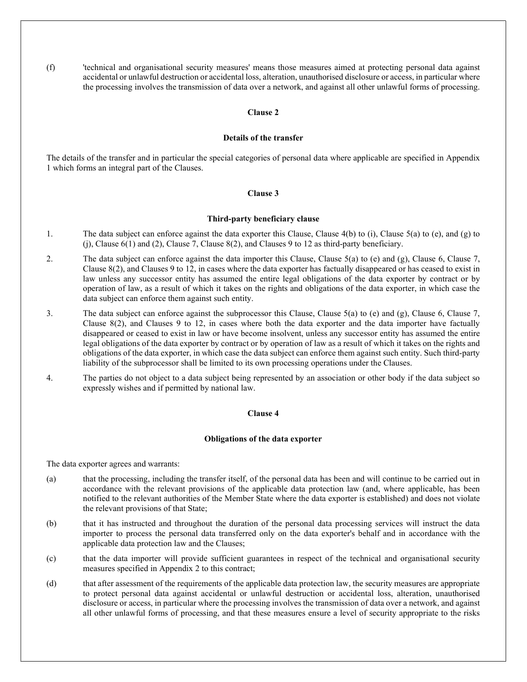(f) 'technical and organisational security measures' means those measures aimed at protecting personal data against accidental or unlawful destruction or accidental loss, alteration, unauthorised disclosure or access, in particular where the processing involves the transmission of data over a network, and against all other unlawful forms of processing.

#### Clause 2

#### Details of the transfer

The details of the transfer and in particular the special categories of personal data where applicable are specified in Appendix 1 which forms an integral part of the Clauses.

## Clause 3

## Third-party beneficiary clause

- 1. The data subject can enforce against the data exporter this Clause, Clause 4(b) to (i), Clause 5(a) to (e), and (g) to (j), Clause 6(1) and (2), Clause 7, Clause 8(2), and Clauses 9 to 12 as third-party beneficiary.
- 2. The data subject can enforce against the data importer this Clause, Clause 5(a) to (e) and (g), Clause 6, Clause 7, Clause 8(2), and Clauses 9 to 12, in cases where the data exporter has factually disappeared or has ceased to exist in law unless any successor entity has assumed the entire legal obligations of the data exporter by contract or by operation of law, as a result of which it takes on the rights and obligations of the data exporter, in which case the data subject can enforce them against such entity.
- 3. The data subject can enforce against the subprocessor this Clause, Clause 5(a) to (e) and (g), Clause 6, Clause 7, Clause 8(2), and Clauses 9 to 12, in cases where both the data exporter and the data importer have factually disappeared or ceased to exist in law or have become insolvent, unless any successor entity has assumed the entire legal obligations of the data exporter by contract or by operation of law as a result of which it takes on the rights and obligations of the data exporter, in which case the data subject can enforce them against such entity. Such third-party liability of the subprocessor shall be limited to its own processing operations under the Clauses.
- 4. The parties do not object to a data subject being represented by an association or other body if the data subject so expressly wishes and if permitted by national law.

#### Clause 4

#### Obligations of the data exporter

The data exporter agrees and warrants:

- (a) that the processing, including the transfer itself, of the personal data has been and will continue to be carried out in accordance with the relevant provisions of the applicable data protection law (and, where applicable, has been notified to the relevant authorities of the Member State where the data exporter is established) and does not violate the relevant provisions of that State;
- (b) that it has instructed and throughout the duration of the personal data processing services will instruct the data importer to process the personal data transferred only on the data exporter's behalf and in accordance with the applicable data protection law and the Clauses;
- (c) that the data importer will provide sufficient guarantees in respect of the technical and organisational security measures specified in Appendix 2 to this contract;
- (d) that after assessment of the requirements of the applicable data protection law, the security measures are appropriate to protect personal data against accidental or unlawful destruction or accidental loss, alteration, unauthorised disclosure or access, in particular where the processing involves the transmission of data over a network, and against all other unlawful forms of processing, and that these measures ensure a level of security appropriate to the risks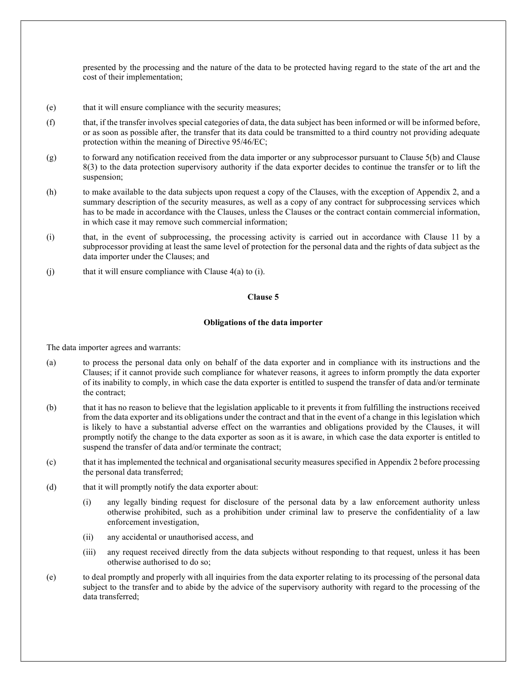presented by the processing and the nature of the data to be protected having regard to the state of the art and the cost of their implementation;

- (e) that it will ensure compliance with the security measures;
- (f) that, if the transfer involves special categories of data, the data subject has been informed or will be informed before, or as soon as possible after, the transfer that its data could be transmitted to a third country not providing adequate protection within the meaning of Directive 95/46/EC;
- (g) to forward any notification received from the data importer or any subprocessor pursuant to Clause 5(b) and Clause 8(3) to the data protection supervisory authority if the data exporter decides to continue the transfer or to lift the suspension;
- (h) to make available to the data subjects upon request a copy of the Clauses, with the exception of Appendix 2, and a summary description of the security measures, as well as a copy of any contract for subprocessing services which has to be made in accordance with the Clauses, unless the Clauses or the contract contain commercial information, in which case it may remove such commercial information;
- (i) that, in the event of subprocessing, the processing activity is carried out in accordance with Clause 11 by a subprocessor providing at least the same level of protection for the personal data and the rights of data subject as the data importer under the Clauses; and
- (i) that it will ensure compliance with Clause  $4(a)$  to (i).

## Clause 5

## Obligations of the data importer

The data importer agrees and warrants:

- (a) to process the personal data only on behalf of the data exporter and in compliance with its instructions and the Clauses; if it cannot provide such compliance for whatever reasons, it agrees to inform promptly the data exporter of its inability to comply, in which case the data exporter is entitled to suspend the transfer of data and/or terminate the contract;
- (b) that it has no reason to believe that the legislation applicable to it prevents it from fulfilling the instructions received from the data exporter and its obligations under the contract and that in the event of a change in this legislation which is likely to have a substantial adverse effect on the warranties and obligations provided by the Clauses, it will promptly notify the change to the data exporter as soon as it is aware, in which case the data exporter is entitled to suspend the transfer of data and/or terminate the contract;
- (c) that it has implemented the technical and organisational security measures specified in Appendix 2 before processing the personal data transferred;
- (d) that it will promptly notify the data exporter about:
	- (i) any legally binding request for disclosure of the personal data by a law enforcement authority unless otherwise prohibited, such as a prohibition under criminal law to preserve the confidentiality of a law enforcement investigation,
	- (ii) any accidental or unauthorised access, and
	- (iii) any request received directly from the data subjects without responding to that request, unless it has been otherwise authorised to do so;
- (e) to deal promptly and properly with all inquiries from the data exporter relating to its processing of the personal data subject to the transfer and to abide by the advice of the supervisory authority with regard to the processing of the data transferred;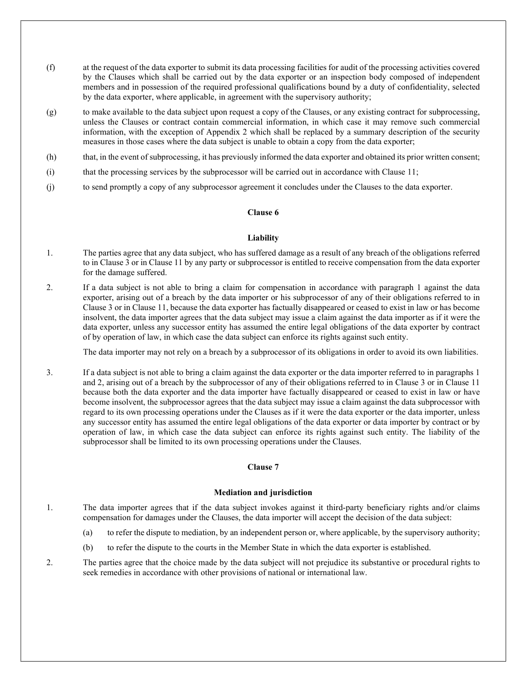- (f) at the request of the data exporter to submit its data processing facilities for audit of the processing activities covered by the Clauses which shall be carried out by the data exporter or an inspection body composed of independent members and in possession of the required professional qualifications bound by a duty of confidentiality, selected by the data exporter, where applicable, in agreement with the supervisory authority;
- (g) to make available to the data subject upon request a copy of the Clauses, or any existing contract for subprocessing, unless the Clauses or contract contain commercial information, in which case it may remove such commercial information, with the exception of Appendix 2 which shall be replaced by a summary description of the security measures in those cases where the data subject is unable to obtain a copy from the data exporter;
- (h) that, in the event of subprocessing, it has previously informed the data exporter and obtained its prior written consent;
- (i) that the processing services by the subprocessor will be carried out in accordance with Clause 11;
- (j) to send promptly a copy of any subprocessor agreement it concludes under the Clauses to the data exporter.

## Clause 6

#### Liability

- 1. The parties agree that any data subject, who has suffered damage as a result of any breach of the obligations referred to in Clause 3 or in Clause 11 by any party or subprocessor is entitled to receive compensation from the data exporter for the damage suffered.
- 2. If a data subject is not able to bring a claim for compensation in accordance with paragraph 1 against the data exporter, arising out of a breach by the data importer or his subprocessor of any of their obligations referred to in Clause 3 or in Clause 11, because the data exporter has factually disappeared or ceased to exist in law or has become insolvent, the data importer agrees that the data subject may issue a claim against the data importer as if it were the data exporter, unless any successor entity has assumed the entire legal obligations of the data exporter by contract of by operation of law, in which case the data subject can enforce its rights against such entity.

The data importer may not rely on a breach by a subprocessor of its obligations in order to avoid its own liabilities.

3. If a data subject is not able to bring a claim against the data exporter or the data importer referred to in paragraphs 1 and 2, arising out of a breach by the subprocessor of any of their obligations referred to in Clause 3 or in Clause 11 because both the data exporter and the data importer have factually disappeared or ceased to exist in law or have become insolvent, the subprocessor agrees that the data subject may issue a claim against the data subprocessor with regard to its own processing operations under the Clauses as if it were the data exporter or the data importer, unless any successor entity has assumed the entire legal obligations of the data exporter or data importer by contract or by operation of law, in which case the data subject can enforce its rights against such entity. The liability of the subprocessor shall be limited to its own processing operations under the Clauses.

## Clause 7

## Mediation and jurisdiction

1. The data importer agrees that if the data subject invokes against it third-party beneficiary rights and/or claims compensation for damages under the Clauses, the data importer will accept the decision of the data subject:

- (a) to refer the dispute to mediation, by an independent person or, where applicable, by the supervisory authority;
- (b) to refer the dispute to the courts in the Member State in which the data exporter is established.

2. The parties agree that the choice made by the data subject will not prejudice its substantive or procedural rights to seek remedies in accordance with other provisions of national or international law.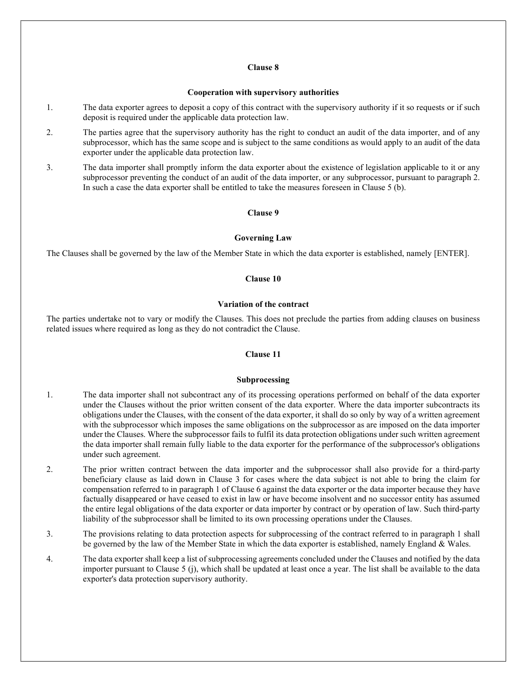## Clause 8

#### Cooperation with supervisory authorities

- 1. The data exporter agrees to deposit a copy of this contract with the supervisory authority if it so requests or if such deposit is required under the applicable data protection law.
- 2. The parties agree that the supervisory authority has the right to conduct an audit of the data importer, and of any subprocessor, which has the same scope and is subject to the same conditions as would apply to an audit of the data exporter under the applicable data protection law.
- 3. The data importer shall promptly inform the data exporter about the existence of legislation applicable to it or any subprocessor preventing the conduct of an audit of the data importer, or any subprocessor, pursuant to paragraph 2. In such a case the data exporter shall be entitled to take the measures foreseen in Clause 5 (b).

#### Clause 9

#### Governing Law

The Clauses shall be governed by the law of the Member State in which the data exporter is established, namely [ENTER].

## Clause 10

#### Variation of the contract

The parties undertake not to vary or modify the Clauses. This does not preclude the parties from adding clauses on business related issues where required as long as they do not contradict the Clause.

#### Clause 11

#### Subprocessing

- 1. The data importer shall not subcontract any of its processing operations performed on behalf of the data exporter under the Clauses without the prior written consent of the data exporter. Where the data importer subcontracts its obligations under the Clauses, with the consent of the data exporter, it shall do so only by way of a written agreement with the subprocessor which imposes the same obligations on the subprocessor as are imposed on the data importer under the Clauses. Where the subprocessor fails to fulfil its data protection obligations under such written agreement the data importer shall remain fully liable to the data exporter for the performance of the subprocessor's obligations under such agreement.
- 2. The prior written contract between the data importer and the subprocessor shall also provide for a third-party beneficiary clause as laid down in Clause 3 for cases where the data subject is not able to bring the claim for compensation referred to in paragraph 1 of Clause 6 against the data exporter or the data importer because they have factually disappeared or have ceased to exist in law or have become insolvent and no successor entity has assumed the entire legal obligations of the data exporter or data importer by contract or by operation of law. Such third-party liability of the subprocessor shall be limited to its own processing operations under the Clauses.
- 3. The provisions relating to data protection aspects for subprocessing of the contract referred to in paragraph 1 shall be governed by the law of the Member State in which the data exporter is established, namely England & Wales.
- 4. The data exporter shall keep a list of subprocessing agreements concluded under the Clauses and notified by the data importer pursuant to Clause 5 (j), which shall be updated at least once a year. The list shall be available to the data exporter's data protection supervisory authority.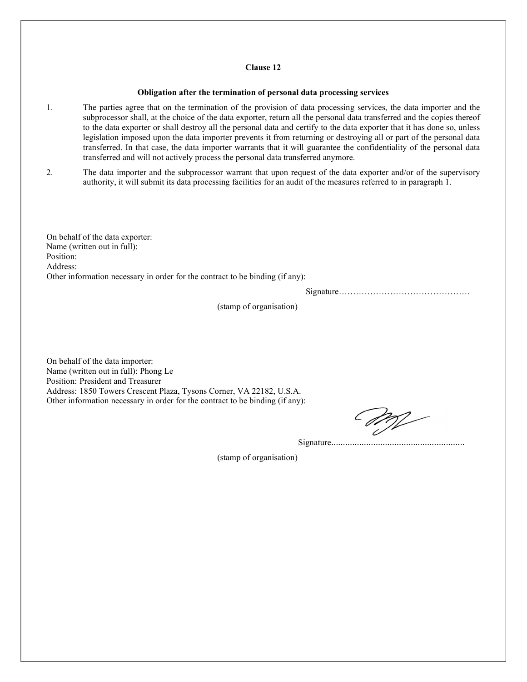### Clause 12

#### Obligation after the termination of personal data processing services

- 1. The parties agree that on the termination of the provision of data processing services, the data importer and the subprocessor shall, at the choice of the data exporter, return all the personal data transferred and the copies thereof to the data exporter or shall destroy all the personal data and certify to the data exporter that it has done so, unless legislation imposed upon the data importer prevents it from returning or destroying all or part of the personal data transferred. In that case, the data importer warrants that it will guarantee the confidentiality of the personal data transferred and will not actively process the personal data transferred anymore.
- 2. The data importer and the subprocessor warrant that upon request of the data exporter and/or of the supervisory authority, it will submit its data processing facilities for an audit of the measures referred to in paragraph 1.

On behalf of the data exporter: Name (written out in full): Position: Address: Other information necessary in order for the contract to be binding (if any):

Signature……………………………………….

(stamp of organisation)

On behalf of the data importer: Name (written out in full): Phong Le Position: President and Treasurer Address: 1850 Towers Crescent Plaza, Tysons Corner, VA 22182, U.S.A. Other information necessary in order for the contract to be binding (if any):

Signature…………………………………………………

(stamp of organisation)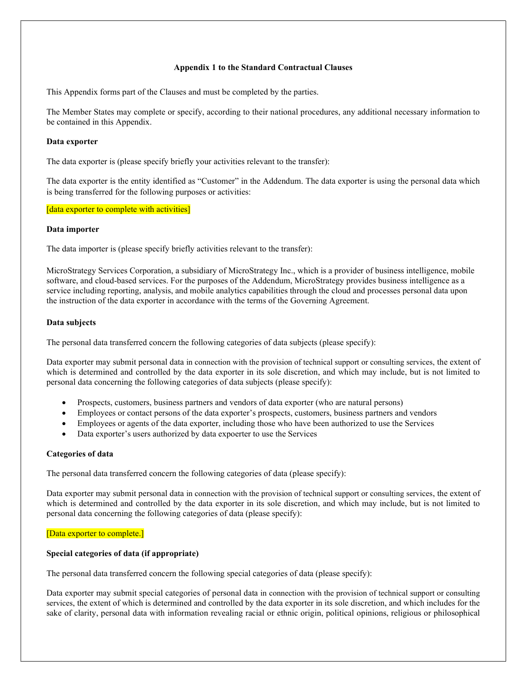## Appendix 1 to the Standard Contractual Clauses

This Appendix forms part of the Clauses and must be completed by the parties.

The Member States may complete or specify, according to their national procedures, any additional necessary information to be contained in this Appendix.

## Data exporter

The data exporter is (please specify briefly your activities relevant to the transfer):

The data exporter is the entity identified as "Customer" in the Addendum. The data exporter is using the personal data which is being transferred for the following purposes or activities:

#### [data exporter to complete with activities]

#### Data importer

The data importer is (please specify briefly activities relevant to the transfer):

MicroStrategy Services Corporation, a subsidiary of MicroStrategy Inc., which is a provider of business intelligence, mobile software, and cloud-based services. For the purposes of the Addendum, MicroStrategy provides business intelligence as a service including reporting, analysis, and mobile analytics capabilities through the cloud and processes personal data upon the instruction of the data exporter in accordance with the terms of the Governing Agreement.

## Data subjects

The personal data transferred concern the following categories of data subjects (please specify):

Data exporter may submit personal data in connection with the provision of technical support or consulting services, the extent of which is determined and controlled by the data exporter in its sole discretion, and which may include, but is not limited to personal data concerning the following categories of data subjects (please specify):

- Prospects, customers, business partners and vendors of data exporter (who are natural persons)
- Employees or contact persons of the data exporter's prospects, customers, business partners and vendors
- Employees or agents of the data exporter, including those who have been authorized to use the Services
- Data exporter's users authorized by data expoerter to use the Services

#### Categories of data

The personal data transferred concern the following categories of data (please specify):

Data exporter may submit personal data in connection with the provision of technical support or consulting services, the extent of which is determined and controlled by the data exporter in its sole discretion, and which may include, but is not limited to personal data concerning the following categories of data (please specify):

## [Data exporter to complete.]

## Special categories of data (if appropriate)

The personal data transferred concern the following special categories of data (please specify):

Data exporter may submit special categories of personal data in connection with the provision of technical support or consulting services, the extent of which is determined and controlled by the data exporter in its sole discretion, and which includes for the sake of clarity, personal data with information revealing racial or ethnic origin, political opinions, religious or philosophical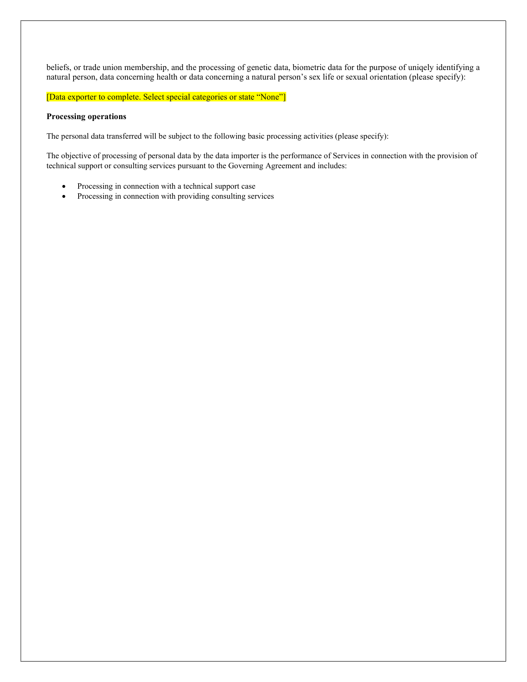beliefs, or trade union membership, and the processing of genetic data, biometric data for the purpose of uniqely identifying a natural person, data concerning health or data concerning a natural person's sex life or sexual orientation (please specify):

[Data exporter to complete. Select special categories or state "None"]

## Processing operations

The personal data transferred will be subject to the following basic processing activities (please specify):

The objective of processing of personal data by the data importer is the performance of Services in connection with the provision of technical support or consulting services pursuant to the Governing Agreement and includes:

- Processing in connection with a technical support case
- Processing in connection with providing consulting services